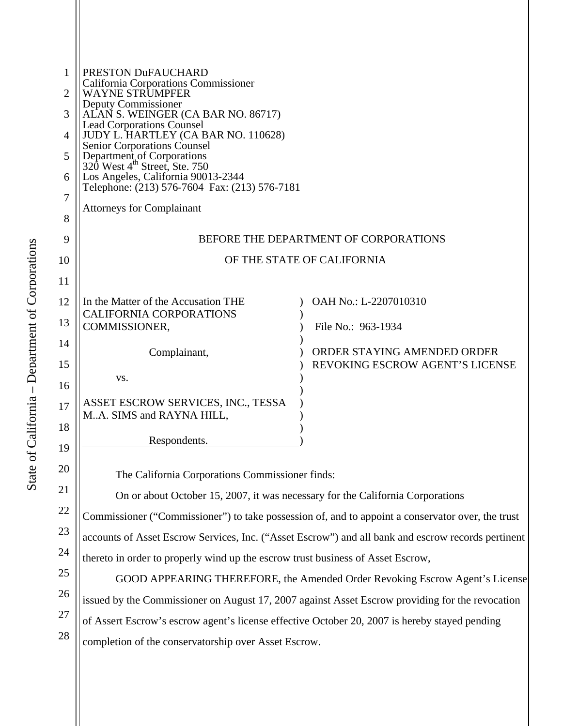| 1  | PRESTON DuFAUCHARD                                                                                     |                                 |  |
|----|--------------------------------------------------------------------------------------------------------|---------------------------------|--|
| 2  | <b>California Corporations Commissioner</b><br>WAYNE STRUMPFER                                         |                                 |  |
| 3  | Deputy Commissioner<br>ALAN S. WEINGER (CA BAR NO. 86717)                                              |                                 |  |
| 4  | <b>Lead Corporations Counsel</b><br>JUDY L. HARTLEY (CA BAR NO. 110628)                                |                                 |  |
| 5  | Senior Corporations Counsel<br>Department of Corporations<br>320 West 4 <sup>th</sup> Street, Ste. 750 |                                 |  |
| 6  | Los Angeles, California 90013-2344                                                                     |                                 |  |
| 7  | Telephone: (213) 576-7604 Fax: (213) 576-7181<br><b>Attorneys for Complainant</b>                      |                                 |  |
| 8  |                                                                                                        |                                 |  |
| 9  | BEFORE THE DEPARTMENT OF CORPORATIONS                                                                  |                                 |  |
| 10 | OF THE STATE OF CALIFORNIA                                                                             |                                 |  |
| 11 |                                                                                                        |                                 |  |
| 12 | In the Matter of the Accusation THE<br>CALIFORNIA CORPORATIONS                                         | OAH No.: L-2207010310           |  |
| 13 | COMMISSIONER,                                                                                          | File No.: 963-1934              |  |
| 14 | Complainant,                                                                                           | ORDER STAYING AMENDED ORDER     |  |
| 15 | VS.                                                                                                    | REVOKING ESCROW AGENT'S LICENSE |  |
| 16 |                                                                                                        |                                 |  |
| 17 | ASSET ESCROW SERVICES, INC., TESSA<br>MA. SIMS and RAYNA HILL,                                         |                                 |  |
| 18 | Respondents.                                                                                           |                                 |  |
| 19 |                                                                                                        |                                 |  |
| 20 | The California Corporations Commissioner finds:                                                        |                                 |  |
| 21 | On or about October 15, 2007, it was necessary for the California Corporations                         |                                 |  |
| 22 | Commissioner ("Commissioner") to take possession of, and to appoint a conservator over, the trust      |                                 |  |
| 23 | accounts of Asset Escrow Services, Inc. ("Asset Escrow") and all bank and escrow records pertinent     |                                 |  |
| 24 | ender to preparly wind up the economy trust business of Asset Fearew                                   |                                 |  |

thereto in order to properly wind up the escrow trust business of Asset Escrow,

GOOD APPEARING THEREFORE, the Amended Order Revoking Escrow Agent's License issued by the Commissioner on August 17, 2007 against Asset Escrow providing for the revocation of Assert Escrow's escrow agent's license effective October 20, 2007 is hereby stayed pending completion of the conservatorship over Asset Escrow.

25

26

27

28